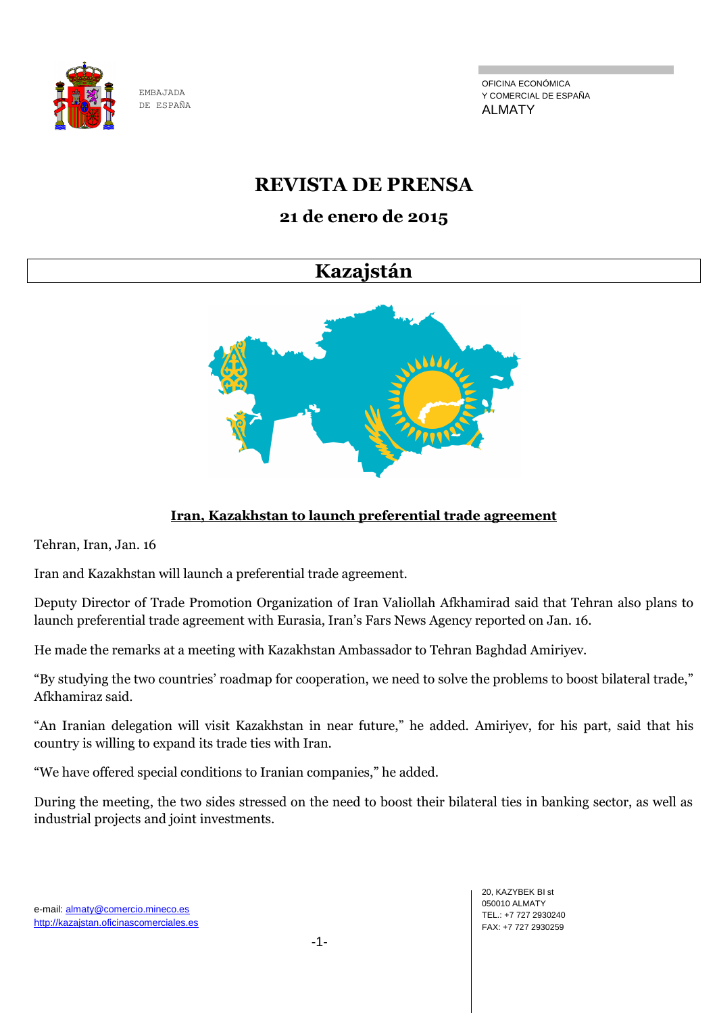

OFICINA ECONÓMICA Y COMERCIAL DE ESPAÑA ALMATY

## **REVISTA DE PRENSA**

## **21 de enero de 2015**

## **Kazajstán**



## **Iran, Kazakhstan to launch preferential trade agreement**

Tehran, Iran, Jan. 16

Iran and Kazakhstan will launch a preferential trade agreement.

Deputy Director of Trade Promotion Organization of Iran Valiollah Afkhamirad said that Tehran also plans to launch preferential trade agreement with Eurasia, Iran's Fars News Agency reported on Jan. 16.

He made the remarks at a meeting with Kazakhstan Ambassador to Tehran Baghdad Amiriyev.

"By studying the two countries' roadmap for cooperation, we need to solve the problems to boost bilateral trade," Afkhamiraz said.

"An Iranian delegation will visit Kazakhstan in near future," he added. Amiriyev, for his part, said that his country is willing to expand its trade ties with Iran.

"We have offered special conditions to Iranian companies," he added.

During the meeting, the two sides stressed on the need to boost their bilateral ties in banking sector, as well as industrial projects and joint investments.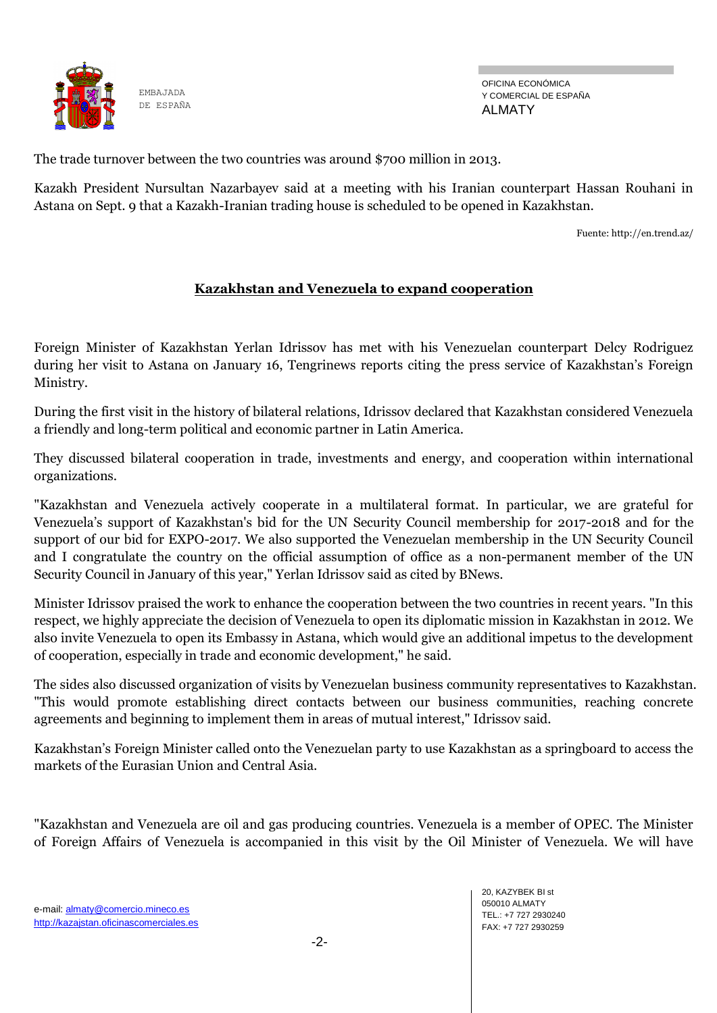

OFICINA ECONÓMICA Y COMERCIAL DE ESPAÑA ALMATY

The trade turnover between the two countries was around \$700 million in 2013.

Kazakh President Nursultan Nazarbayev said at a meeting with his Iranian counterpart Hassan Rouhani in Astana on Sept. 9 that a Kazakh-Iranian trading house is scheduled to be opened in Kazakhstan.

Fuente[: http://en.trend.az/](http://en.trend.az/)

#### **Kazakhstan and Venezuela to expand cooperation**

Foreign Minister of Kazakhstan Yerlan Idrissov has met with his Venezuelan counterpart Delcy Rodriguez during her visit to Astana on January 16, Tengrinews reports citing the press service of Kazakhstan's Foreign Ministry.

During the first visit in the history of bilateral relations, Idrissov declared that Kazakhstan considered Venezuela a friendly and long-term political and economic partner in Latin America.

They discussed bilateral cooperation in trade, investments and energy, and cooperation within international organizations.

"Kazakhstan and Venezuela actively cooperate in a multilateral format. In particular, we are grateful for Venezuela's support of Kazakhstan's bid for the UN Security Council membership for 2017-2018 and for the support of our bid for EXPO-2017. We also supported the Venezuelan membership in the UN Security Council and I congratulate the country on the official assumption of office as a non-permanent member of the UN Security Council in January of this year," Yerlan Idrissov said as cited by BNews.

Minister Idrissov praised the work to enhance the cooperation between the two countries in recent years. "In this respect, we highly appreciate the decision of Venezuela to open its diplomatic mission in Kazakhstan in 2012. We also invite Venezuela to open its Embassy in Astana, which would give an additional impetus to the development of cooperation, especially in trade and economic development," he said.

The sides also discussed organization of visits by Venezuelan business community representatives to Kazakhstan. "This would promote establishing direct contacts between our business communities, reaching concrete agreements and beginning to implement them in areas of mutual interest," Idrissov said.

Kazakhstan's Foreign Minister called onto the Venezuelan party to use Kazakhstan as a springboard to access the markets of the Eurasian Union and Central Asia.

"Kazakhstan and Venezuela are oil and gas producing countries. Venezuela is a member of OPEC. The Minister of Foreign Affairs of Venezuela is accompanied in this visit by the Oil Minister of Venezuela. We will have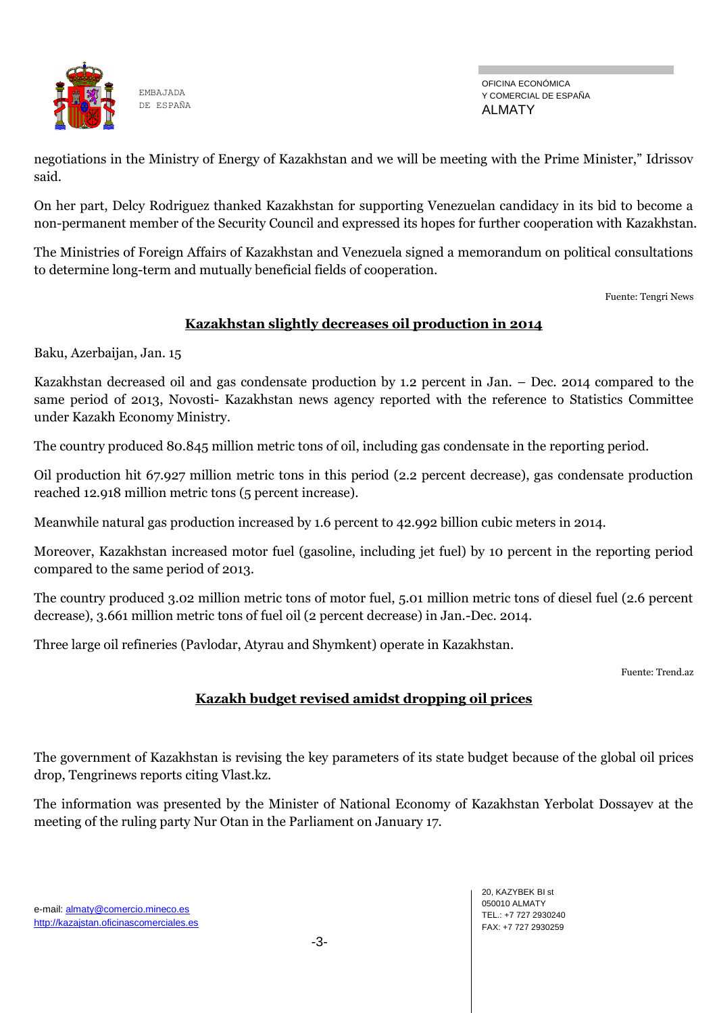

OFICINA ECONÓMICA Y COMERCIAL DE ESPAÑA ALMATY

negotiations in the Ministry of Energy of Kazakhstan and we will be meeting with the Prime Minister," Idrissov said.

On her part, Delcy Rodriguez thanked Kazakhstan for supporting Venezuelan candidacy in its bid to become a non-permanent member of the Security Council and expressed its hopes for further cooperation with Kazakhstan.

The Ministries of Foreign Affairs of Kazakhstan and Venezuela signed a memorandum on political consultations to determine long-term and mutually beneficial fields of cooperation.

Fuente: Tengri News

#### **Kazakhstan slightly decreases oil production in 2014**

Baku, Azerbaijan, Jan. 15

Kazakhstan decreased oil and gas condensate production by 1.2 percent in Jan. – Dec. 2014 compared to the same period of 2013, Novosti- Kazakhstan news agency reported with the reference to Statistics Committee under Kazakh Economy Ministry.

The country produced 80.845 million metric tons of oil, including gas condensate in the reporting period.

Oil production hit 67.927 million metric tons in this period (2.2 percent decrease), gas condensate production reached 12.918 million metric tons (5 percent increase).

Meanwhile natural gas production increased by 1.6 percent to 42.992 billion cubic meters in 2014.

Moreover, Kazakhstan increased motor fuel (gasoline, including jet fuel) by 10 percent in the reporting period compared to the same period of 2013.

The country produced 3.02 million metric tons of motor fuel, 5.01 million metric tons of diesel fuel (2.6 percent decrease), 3.661 million metric tons of fuel oil (2 percent decrease) in Jan.-Dec. 2014.

Three large oil refineries (Pavlodar, Atyrau and Shymkent) operate in Kazakhstan.

Fuente: Trend.az

#### **Kazakh budget revised amidst dropping oil prices**

The government of Kazakhstan is revising the key parameters of its state budget because of the global oil prices drop, Tengrinews reports citing Vlast.kz.

The information was presented by the Minister of National Economy of Kazakhstan Yerbolat Dossayev at the meeting of the ruling party Nur Otan in the Parliament on January 17.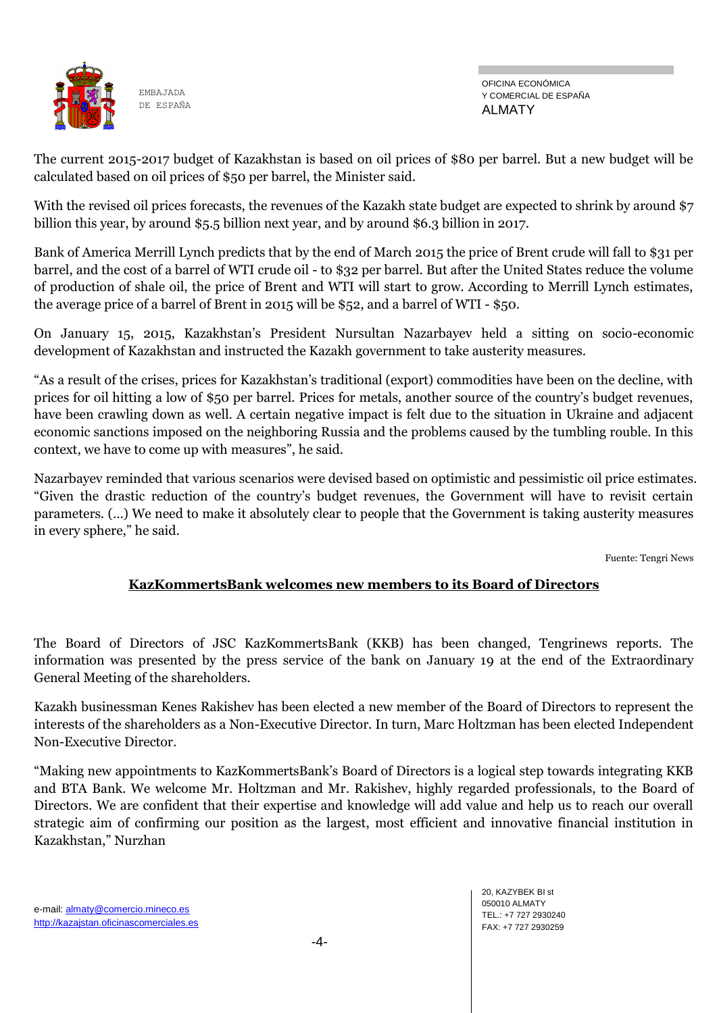

OFICINA ECONÓMICA Y COMERCIAL DE ESPAÑA ALMATY

The current 2015-2017 budget of Kazakhstan is based on oil prices of \$80 per barrel. But a new budget will be calculated based on oil prices of \$50 per barrel, the Minister said.

With the revised oil prices forecasts, the revenues of the Kazakh state budget are expected to shrink by around \$7 billion this year, by around \$5.5 billion next year, and by around \$6.3 billion in 2017.

Bank of America Merrill Lynch predicts that by the end of March 2015 the price of Brent crude will fall to \$31 per barrel, and the cost of a barrel of WTI crude oil - to \$32 per barrel. But after the United States reduce the volume of production of shale oil, the price of Brent and WTI will start to grow. According to Merrill Lynch estimates, the average price of a barrel of Brent in 2015 will be \$52, and a barrel of WTI - \$50.

On January 15, 2015, Kazakhstan's President Nursultan Nazarbayev held a sitting on socio-economic development of Kazakhstan and instructed the Kazakh government to take austerity measures.

"As a result of the crises, prices for Kazakhstan's traditional (export) commodities have been on the decline, with prices for oil hitting a low of \$50 per barrel. Prices for metals, another source of the country's budget revenues, have been crawling down as well. A certain negative impact is felt due to the situation in Ukraine and adjacent economic sanctions imposed on the neighboring Russia and the problems caused by the tumbling rouble. In this context, we have to come up with measures", he said.

Nazarbayev reminded that various scenarios were devised based on optimistic and pessimistic oil price estimates. "Given the drastic reduction of the country's budget revenues, the Government will have to revisit certain parameters. (…) We need to make it absolutely clear to people that the Government is taking austerity measures in every sphere," he said.

Fuente: Tengri News

#### **KazKommertsBank welcomes new members to its Board of Directors**

The Board of Directors of JSC KazKommertsBank (KKB) has been changed, Tengrinews reports. The information was presented by the press service of the bank on January 19 at the end of the Extraordinary General Meeting of the shareholders.

Kazakh businessman Kenes Rakishev has been elected a new member of the Board of Directors to represent the interests of the shareholders as a Non-Executive Director. In turn, Marc Holtzman has been elected Independent Non-Executive Director.

"Making new appointments to KazKommertsBank's Board of Directors is a logical step towards integrating KKB and BTA Bank. We welcome Mr. Holtzman and Mr. Rakishev, highly regarded professionals, to the Board of Directors. We are confident that their expertise and knowledge will add value and help us to reach our overall strategic aim of confirming our position as the largest, most efficient and innovative financial institution in Kazakhstan," Nurzhan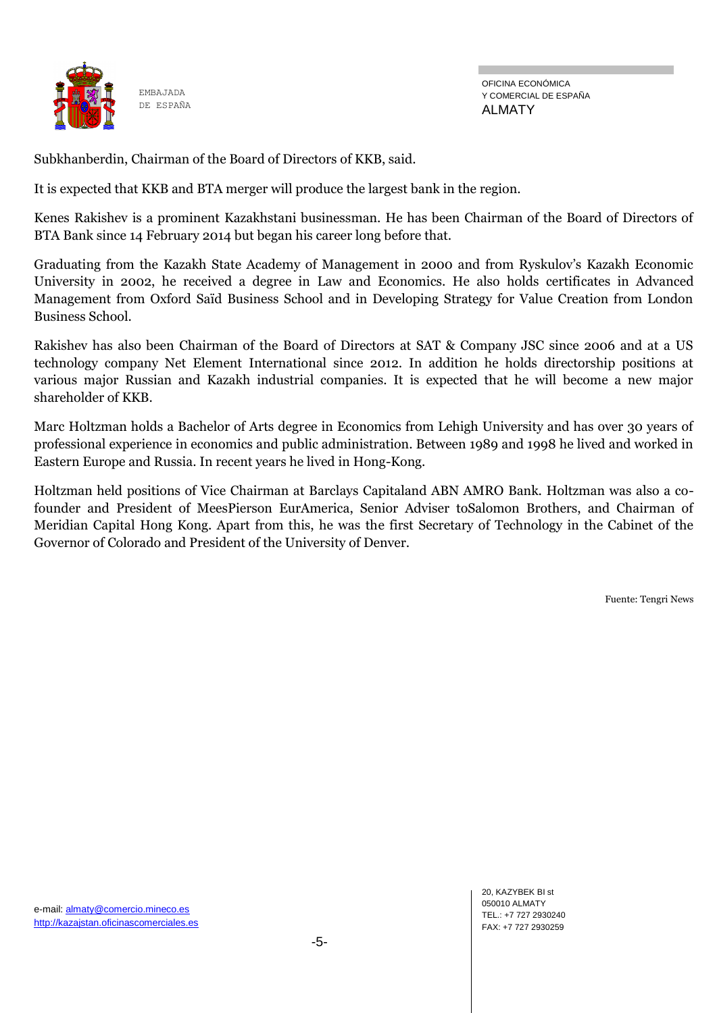

OFICINA ECONÓMICA Y COMERCIAL DE ESPAÑA ALMATY

Subkhanberdin, Chairman of the Board of Directors of KKB, said.

It is expected that KKB and BTA merger will produce the largest bank in the region.

Kenes Rakishev is a prominent Kazakhstani businessman. He has been Chairman of the Board of Directors of BTA Bank since 14 February 2014 but began his career long before that.

Graduating from the Kazakh State Academy of Management in 2000 and from Ryskulov's Kazakh Economic University in 2002, he received a degree in Law and Economics. He also holds certificates in Advanced Management from Oxford Saïd Business School and in Developing Strategy for Value Creation from London Business School.

Rakishev has also been Chairman of the Board of Directors at SAT & Company JSC since 2006 and at a US technology company Net Element International since 2012. In addition he holds directorship positions at various major Russian and Kazakh industrial companies. It is expected that he will become a new major shareholder of KKB.

Marc Holtzman holds a Bachelor of Arts degree in Economics from Lehigh University and has over 30 years of professional experience in economics and public administration. Between 1989 and 1998 he lived and worked in Eastern Europe and Russia. In recent years he lived in Hong-Kong.

Holtzman held positions of Vice Chairman at Barclays Capitaland ABN AMRO Bank. Holtzman was also a cofounder and President of MeesPierson EurAmerica, Senior Adviser toSalomon Brothers, and Chairman of Meridian Capital Hong Kong. Apart from this, he was the first Secretary of Technology in the Cabinet of the Governor of Colorado and President of the University of Denver.

Fuente: Tengri News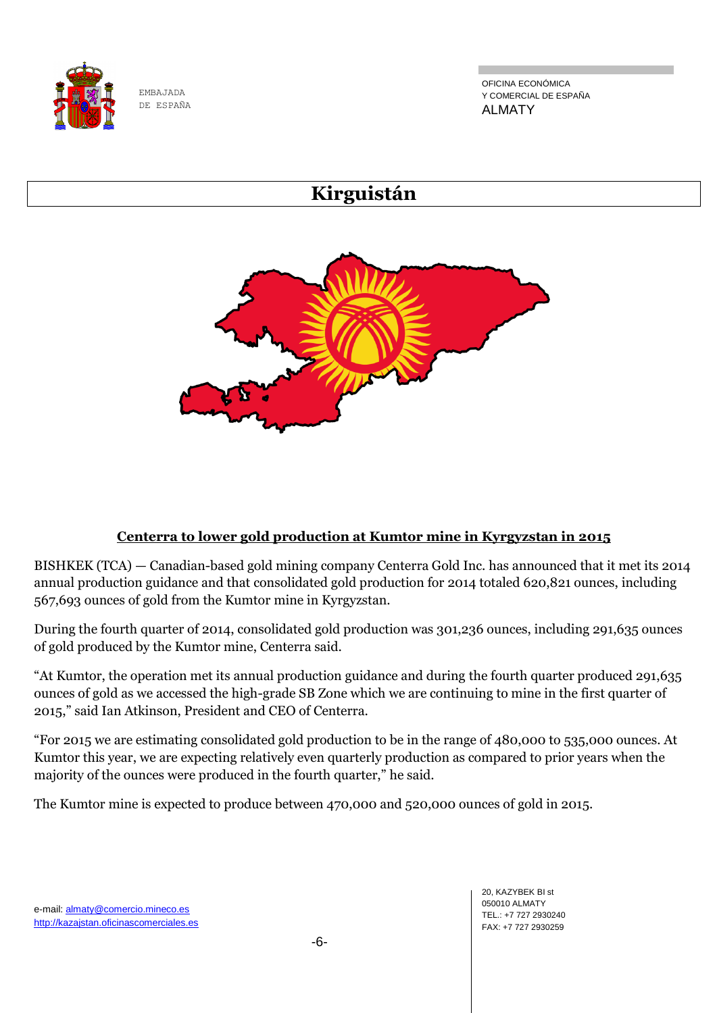

OFICINA ECONÓMICA Y COMERCIAL DE ESPAÑA ALMATY

# **Kirguistán**



### **Centerra to lower gold production at Kumtor mine in Kyrgyzstan in 2015**

BISHKEK (TCA) — Canadian-based gold mining company Centerra Gold Inc. has announced that it met its 2014 annual production guidance and that consolidated gold production for 2014 totaled 620,821 ounces, including 567,693 ounces of gold from the Kumtor mine in Kyrgyzstan.

During the fourth quarter of 2014, consolidated gold production was 301,236 ounces, including 291,635 ounces of gold produced by the Kumtor mine, Centerra said.

"At Kumtor, the operation met its annual production guidance and during the fourth quarter produced 291,635 ounces of gold as we accessed the high-grade SB Zone which we are continuing to mine in the first quarter of 2015," said Ian Atkinson, President and CEO of Centerra.

"For 2015 we are estimating consolidated gold production to be in the range of 480,000 to 535,000 ounces. At Kumtor this year, we are expecting relatively even quarterly production as compared to prior years when the majority of the ounces were produced in the fourth quarter," he said.

The Kumtor mine is expected to produce between 470,000 and 520,000 ounces of gold in 2015.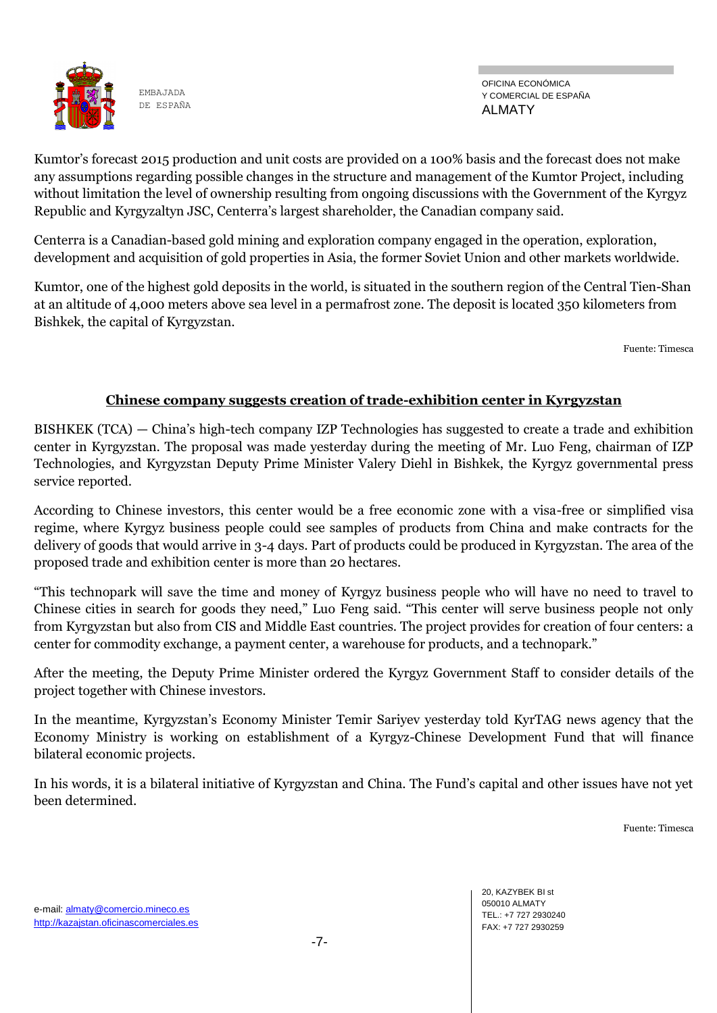

OFICINA ECONÓMICA Y COMERCIAL DE ESPAÑA ALMATY

Kumtor's forecast 2015 production and unit costs are provided on a 100% basis and the forecast does not make any assumptions regarding possible changes in the structure and management of the Kumtor Project, including without limitation the level of ownership resulting from ongoing discussions with the Government of the Kyrgyz Republic and Kyrgyzaltyn JSC, Centerra's largest shareholder, the Canadian company said.

Centerra is a Canadian-based gold mining and exploration company engaged in the operation, exploration, development and acquisition of gold properties in Asia, the former Soviet Union and other markets worldwide.

Kumtor, one of the highest gold deposits in the world, is situated in the southern region of the Central Tien-Shan at an altitude of 4,000 meters above sea level in a permafrost zone. The deposit is located 350 kilometers from Bishkek, the capital of Kyrgyzstan.

Fuente: Timesca

#### **Chinese company suggests creation of trade-exhibition center in Kyrgyzstan**

BISHKEK (TCA) — China's high-tech company IZP Technologies has suggested to create a trade and exhibition center in Kyrgyzstan. The proposal was made yesterday during the meeting of Mr. Luo Feng, chairman of IZP Technologies, and Kyrgyzstan Deputy Prime Minister Valery Diehl in Bishkek, the Kyrgyz governmental press service reported.

According to Chinese investors, this center would be a free economic zone with a visa-free or simplified visa regime, where Kyrgyz business people could see samples of products from China and make contracts for the delivery of goods that would arrive in 3-4 days. Part of products could be produced in Kyrgyzstan. The area of the proposed trade and exhibition center is more than 20 hectares.

"This technopark will save the time and money of Kyrgyz business people who will have no need to travel to Chinese cities in search for goods they need," Luo Feng said. "This center will serve business people not only from Kyrgyzstan but also from CIS and Middle East countries. The project provides for creation of four centers: a center for commodity exchange, a payment center, a warehouse for products, and a technopark."

After the meeting, the Deputy Prime Minister ordered the Kyrgyz Government Staff to consider details of the project together with Chinese investors.

In the meantime, Kyrgyzstan's Economy Minister Temir Sariyev yesterday told KyrTAG news agency that the Economy Ministry is working on establishment of a Kyrgyz-Chinese Development Fund that will finance bilateral economic projects.

In his words, it is a bilateral initiative of Kyrgyzstan and China. The Fund's capital and other issues have not yet been determined.

Fuente: Timesca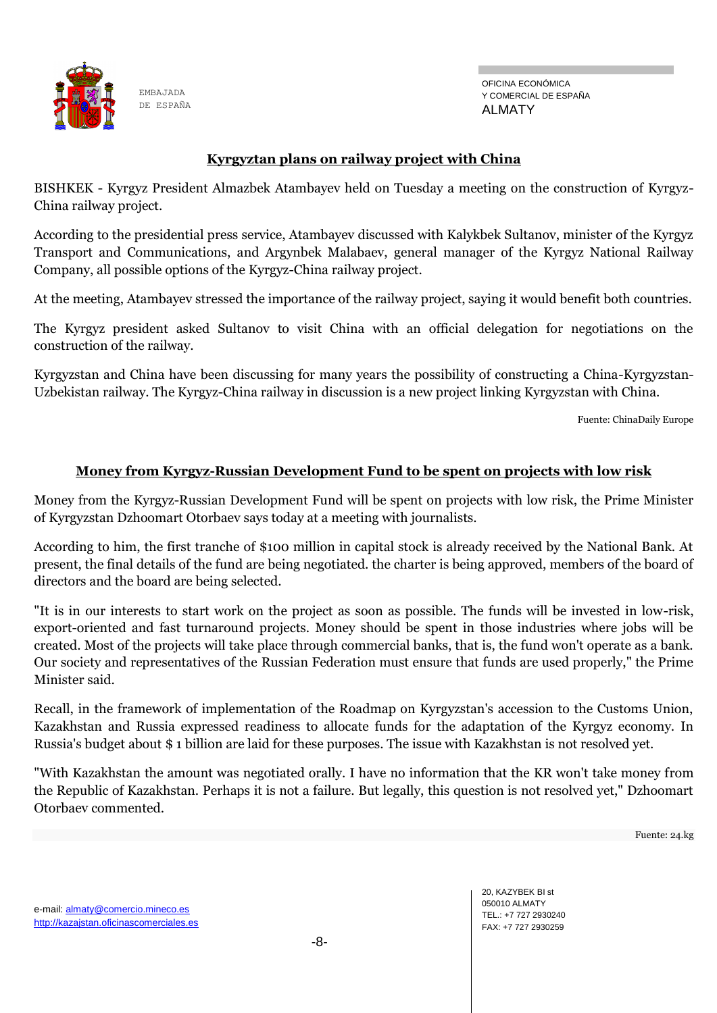

#### **Kyrgyztan plans on railway project with China**

BISHKEK - Kyrgyz President Almazbek Atambayev held on Tuesday a meeting on the construction of Kyrgyz-China railway project.

According to the presidential press service, Atambayev discussed with Kalykbek Sultanov, minister of the Kyrgyz Transport and Communications, and Argynbek Malabaev, general manager of the Kyrgyz National Railway Company, all possible options of the Kyrgyz-China railway project.

At the meeting, Atambayev stressed the importance of the railway project, saying it would benefit both countries.

The Kyrgyz president asked Sultanov to visit China with an official delegation for negotiations on the construction of the railway.

Kyrgyzstan and China have been discussing for many years the possibility of constructing a China-Kyrgyzstan-Uzbekistan railway. The Kyrgyz-China railway in discussion is a new project linking Kyrgyzstan with China.

Fuente: ChinaDaily Europe

#### **Money from Kyrgyz-Russian Development Fund to be spent on projects with low risk**

Money from the Kyrgyz-Russian Development Fund will be spent on projects with low risk, the Prime Minister of Kyrgyzstan Dzhoomart Otorbaev says today at a meeting with journalists.

According to him, the first tranche of \$100 million in capital stock is already received by the National Bank. At present, the final details of the fund are being negotiated. the charter is being approved, members of the board of directors and the board are being selected.

"It is in our interests to start work on the project as soon as possible. The funds will be invested in low-risk, export-oriented and fast turnaround projects. Money should be spent in those industries where jobs will be created. Most of the projects will take place through commercial banks, that is, the fund won't operate as a bank. Our society and representatives of the Russian Federation must ensure that funds are used properly," the Prime Minister said.

Recall, in the framework of implementation of the Roadmap on Kyrgyzstan's accession to the Customs Union, Kazakhstan and Russia expressed readiness to allocate funds for the adaptation of the Kyrgyz economy. In Russia's budget about \$ 1 billion are laid for these purposes. The issue with Kazakhstan is not resolved yet.

"With Kazakhstan the amount was negotiated orally. I have no information that the KR won't take money from the Republic of Kazakhstan. Perhaps it is not a failure. But legally, this question is not resolved yet," Dzhoomart Otorbaev commented.

Fuente: 24.kg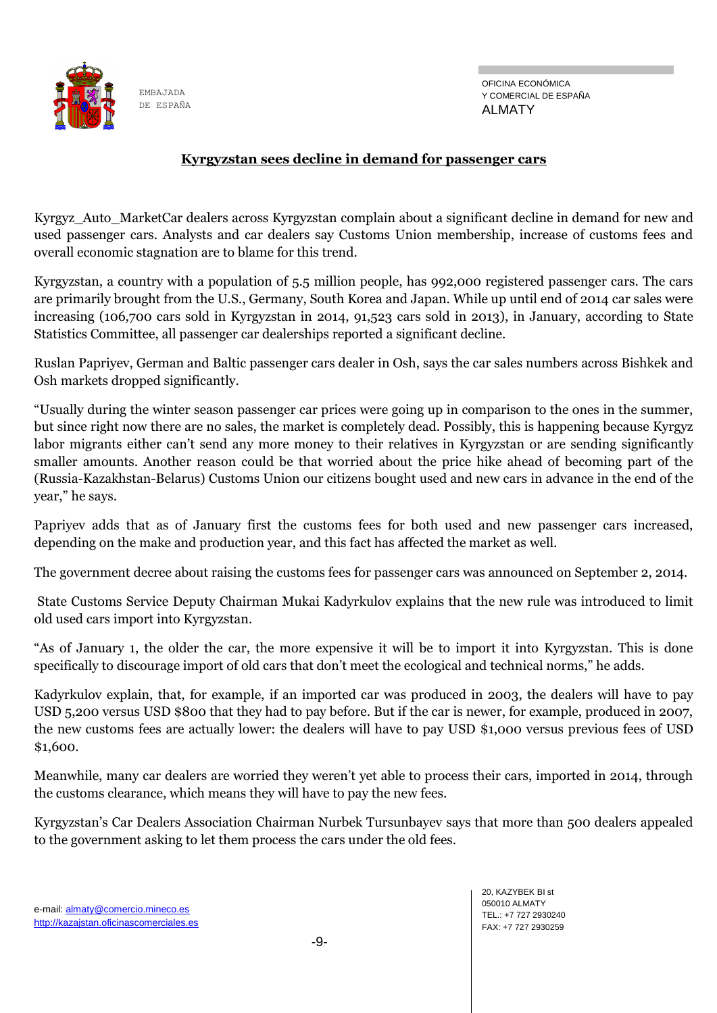

#### **Kyrgyzstan sees decline in demand for passenger cars**

Kyrgyz\_Auto\_MarketCar dealers across Kyrgyzstan complain about a significant decline in demand for new and used passenger cars. Analysts and car dealers say Customs Union membership, increase of customs fees and overall economic stagnation are to blame for this trend.

Kyrgyzstan, a country with a population of 5.5 million people, has 992,000 registered passenger cars. The cars are primarily brought from the U.S., Germany, South Korea and Japan. While up until end of 2014 car sales were increasing (106,700 cars sold in Kyrgyzstan in 2014, 91,523 cars sold in 2013), in January, according to State Statistics Committee, all passenger car dealerships reported a significant decline.

Ruslan Papriyev, German and Baltic passenger cars dealer in Osh, says the car sales numbers across Bishkek and Osh markets dropped significantly.

"Usually during the winter season passenger car prices were going up in comparison to the ones in the summer, but since right now there are no sales, the market is completely dead. Possibly, this is happening because Kyrgyz labor migrants either can't send any more money to their relatives in Kyrgyzstan or are sending significantly smaller amounts. Another reason could be that worried about the price hike ahead of becoming part of the (Russia-Kazakhstan-Belarus) Customs Union our citizens bought used and new cars in advance in the end of the year," he says.

Papriyev adds that as of January first the customs fees for both used and new passenger cars increased, depending on the make and production year, and this fact has affected the market as well.

The government decree about raising the customs fees for passenger cars was announced on September 2, 2014.

State Customs Service Deputy Chairman Mukai Kadyrkulov explains that the new rule was introduced to limit old used cars import into Kyrgyzstan.

"As of January 1, the older the car, the more expensive it will be to import it into Kyrgyzstan. This is done specifically to discourage import of old cars that don't meet the ecological and technical norms," he adds.

Kadyrkulov explain, that, for example, if an imported car was produced in 2003, the dealers will have to pay USD 5,200 versus USD \$800 that they had to pay before. But if the car is newer, for example, produced in 2007, the new customs fees are actually lower: the dealers will have to pay USD \$1,000 versus previous fees of USD \$1,600.

Meanwhile, many car dealers are worried they weren't yet able to process their cars, imported in 2014, through the customs clearance, which means they will have to pay the new fees.

Kyrgyzstan's Car Dealers Association Chairman Nurbek Tursunbayev says that more than 500 dealers appealed to the government asking to let them process the cars under the old fees.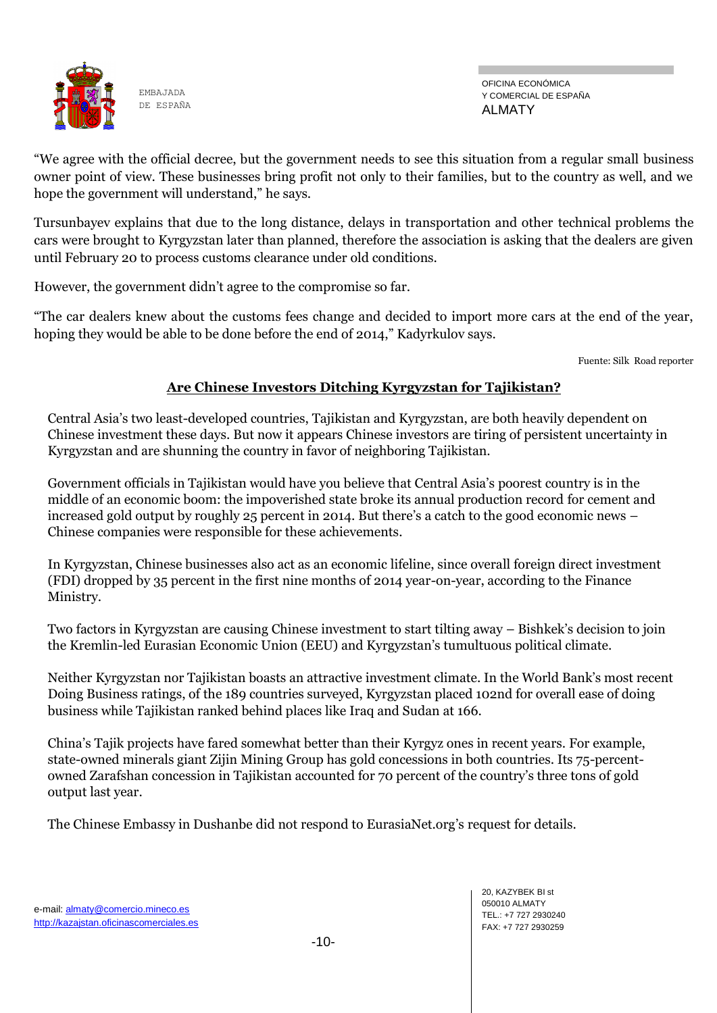

OFICINA ECONÓMICA Y COMERCIAL DE ESPAÑA ALMATY

"We agree with the official decree, but the government needs to see this situation from a regular small business owner point of view. These businesses bring profit not only to their families, but to the country as well, and we hope the government will understand," he says.

Tursunbayev explains that due to the long distance, delays in transportation and other technical problems the cars were brought to Kyrgyzstan later than planned, therefore the association is asking that the dealers are given until February 20 to process customs clearance under old conditions.

However, the government didn't agree to the compromise so far.

"The car dealers knew about the customs fees change and decided to import more cars at the end of the year, hoping they would be able to be done before the end of 2014," Kadyrkulov says.

Fuente: Silk Road reporter

#### **Are Chinese Investors Ditching Kyrgyzstan for Tajikistan?**

Central Asia's two least-developed countries, Tajikistan and Kyrgyzstan, are both heavily dependent on Chinese investment these days. But now it appears Chinese investors are tiring of persistent uncertainty in Kyrgyzstan and are shunning the country in favor of neighboring Tajikistan.

Government officials in Tajikistan would have you believe that Central Asia's poorest country is in the middle of an economic boom: the impoverished state broke its annual production record for cement and increased gold output by roughly 25 percent in 2014. But there's a catch to the good economic news – Chinese companies were responsible for these achievements.

In Kyrgyzstan, Chinese businesses also act as an economic lifeline, since overall foreign direct investment (FDI) dropped by 35 percent in the first nine months of 2014 year-on-year, according to the Finance Ministry.

Two factors in Kyrgyzstan are causing Chinese investment to start tilting away – Bishkek's decision to join the Kremlin-led Eurasian Economic Union (EEU) and Kyrgyzstan's tumultuous political climate.

Neither Kyrgyzstan nor Tajikistan boasts an attractive investment climate. In the World Bank's most recent Doing Business ratings, of the 189 countries surveyed, Kyrgyzstan placed 102nd for overall ease of doing business while Tajikistan ranked behind places like Iraq and Sudan at 166.

China's Tajik projects have fared somewhat better than their Kyrgyz ones in recent years. For example, state-owned minerals giant Zijin Mining Group has gold concessions in both countries. Its 75-percentowned Zarafshan concession in Tajikistan accounted for 70 percent of the country's three tons of gold output last year.

The Chinese Embassy in Dushanbe did not respond to EurasiaNet.org's request for details.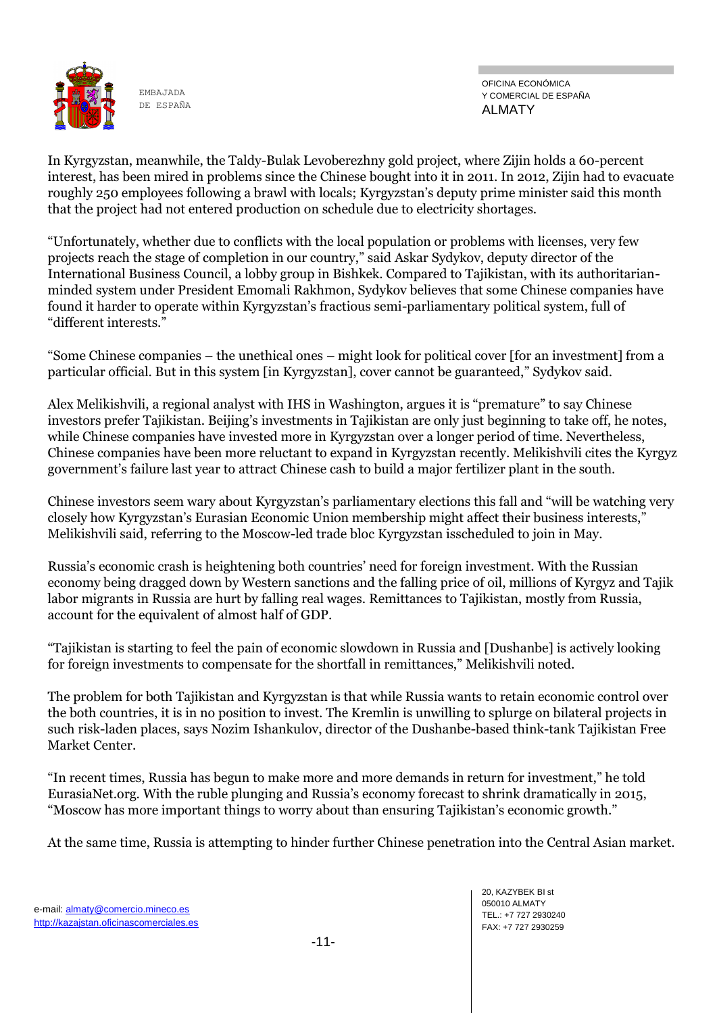

OFICINA ECONÓMICA Y COMERCIAL DE ESPAÑA ALMATY

In Kyrgyzstan, meanwhile, the Taldy-Bulak Levoberezhny gold project, where Zijin holds a 60-percent interest, has been mired in problems since the Chinese bought into it in 2011. In 2012, Zijin had to evacuate roughly 250 employees following a brawl with locals; Kyrgyzstan's deputy prime minister said this month that the project had not entered production on schedule due to electricity shortages.

"Unfortunately, whether due to conflicts with the local population or problems with licenses, very few projects reach the stage of completion in our country," said Askar Sydykov, deputy director of the International Business Council, a lobby group in Bishkek. Compared to Tajikistan, with its authoritarianminded system under President Emomali Rakhmon, Sydykov believes that some Chinese companies have found it harder to operate within Kyrgyzstan's fractious semi-parliamentary political system, full of "different interests."

"Some Chinese companies – the unethical ones – might look for political cover [for an investment] from a particular official. But in this system [in Kyrgyzstan], cover cannot be guaranteed," Sydykov said.

Alex Melikishvili, a regional analyst with IHS in Washington, argues it is "premature" to say Chinese investors prefer Tajikistan. Beijing's investments in Tajikistan are only just beginning to take off, he notes, while Chinese companies have invested more in Kyrgyzstan over a longer period of time. Nevertheless, Chinese companies have been more reluctant to expand in Kyrgyzstan recently. Melikishvili cites the Kyrgyz government's failure last year to attract Chinese cash to build a major fertilizer plant in the south.

Chinese investors seem wary about Kyrgyzstan's [parliamentary elections](http://www.eurasianet.org/node/71621) this fall and "will be watching very closely how Kyrgyzstan's Eurasian Economic Union membership might affect their business interests," Melikishvili said, referring to the Moscow-led trade bloc Kyrgyzstan i[sscheduled to join](http://www.eurasianet.org/node/71461) in May.

Russia's economic crash is heightening both countries' need for foreign investment. With the Russian economy being dragged down by Western sanctions and the falling price of oil, millions of Kyrgyz and Tajik labor migrants in Russia are hurt by falling real wages. Remittances to Tajikistan, mostly from Russia, account for the equivalent of almost [half of GDP.](http://www.eurasianet.org/node/71631)

"Tajikistan is starting to feel the pain of economic slowdown in Russia and [Dushanbe] is actively looking for foreign investments to compensate for the shortfall in remittances," Melikishvili noted.

The problem for both Tajikistan and Kyrgyzstan is that while Russia wants to retain economic control over the both countries, it is in no position to invest. The Kremlin is unwilling to splurge on bilateral projects in such risk-laden places, says Nozim Ishankulov, director of the Dushanbe-based think-tank Tajikistan Free Market Center.

"In recent times, Russia has begun to make more and more demands in return for investment," he told EurasiaNet.org. With the ruble plunging and Russia's economy forecast to shrink dramatically in 2015, "Moscow has more important things to worry about than ensuring Tajikistan's economic growth."

At the same time, Russia is attempting to hinder further Chinese penetration into the Central Asian market.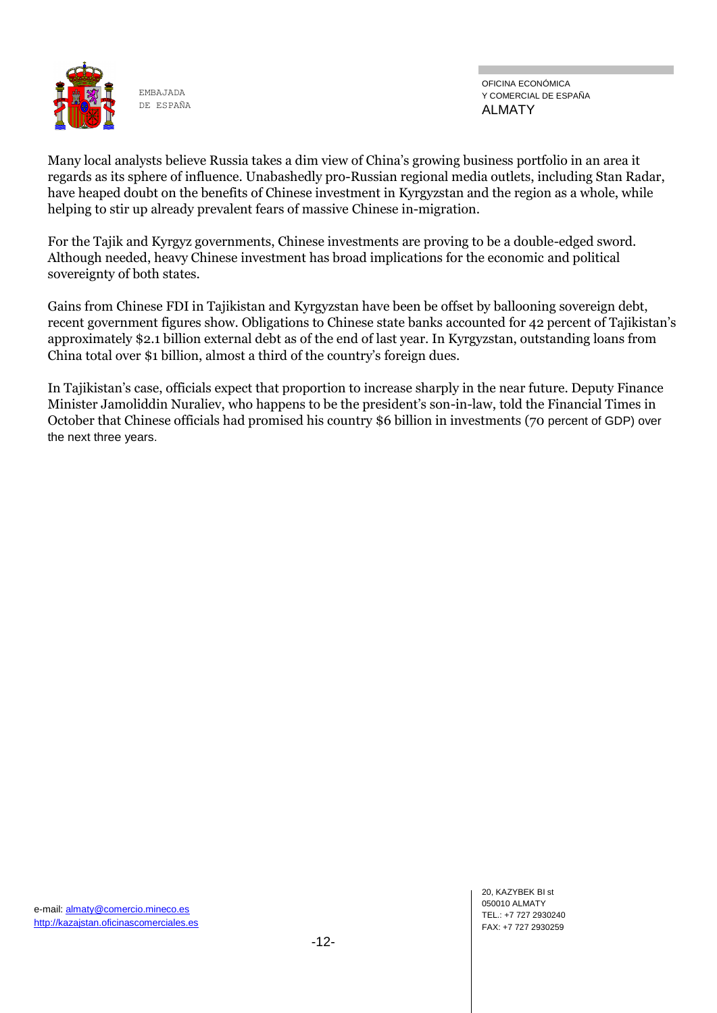

OFICINA ECONÓMICA Y COMERCIAL DE ESPAÑA ALMATY

Many local analysts believe Russia takes a dim view of China's growing business portfolio in an area it regards as its sphere of influence. Unabashedly pro-Russian regional media outlets, including Stan Radar, have heaped doubt on the benefits of Chinese investment in Kyrgyzstan and the region as a whole, while helping to stir up already prevalent fears of massive Chinese [in-migration.](http://www.eurasianet.org/node/63383)

For the Tajik and Kyrgyz governments, Chinese investments are proving to be a double-edged sword. Although needed, heavy Chinese investment has broad implications for the economic and political sovereignty of both states.

Gains from Chinese FDI in Tajikistan and Kyrgyzstan have been be offset by ballooning sovereign debt, recent government figures show. Obligations to Chinese state banks accounted for 42 percent of Tajikistan's approximately \$2.1 billion external debt as of the end of last year. In Kyrgyzstan, outstanding loans from China total over \$1 billion, almost a third of the country's foreign dues.

In Tajikistan's case, officials expect that proportion to increase sharply in the near future. Deputy Finance Minister Jamoliddin Nuraliev, who happens to be the president's son-in-law, told the Financial Times in October that Chinese officials had promised his country \$6 billion in investments (70 percent of GDP) over the next three years.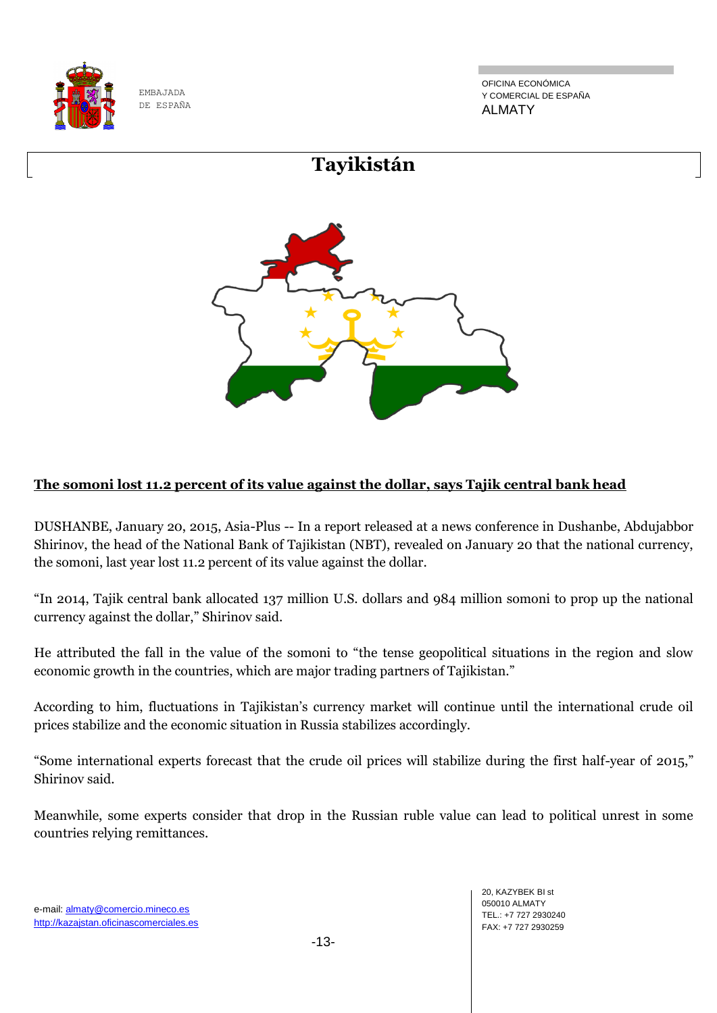

OFICINA ECONÓMICA Y COMERCIAL DE ESPAÑA ALMATY



### **The somoni lost 11.2 percent of its value against the dollar, says Tajik central bank head**

DUSHANBE, January 20, 2015, Asia-Plus -- In a report released at a news conference in Dushanbe, Abdujabbor Shirinov, the head of the National Bank of Tajikistan (NBT), revealed on January 20 that the national currency, the somoni, last year lost 11.2 percent of its value against the dollar.

"In 2014, Tajik central bank allocated 137 million U.S. dollars and 984 million somoni to prop up the national currency against the dollar," Shirinov said.

He attributed the fall in the value of the somoni to "the tense geopolitical situations in the region and slow economic growth in the countries, which are major trading partners of Tajikistan."

According to him, fluctuations in Tajikistan's currency market will continue until the international crude oil prices stabilize and the economic situation in Russia stabilizes accordingly.

"Some international experts forecast that the crude oil prices will stabilize during the first half-year of 2015," Shirinov said.

Meanwhile, some experts consider that drop in the Russian ruble value can lead to political unrest in some countries relying remittances.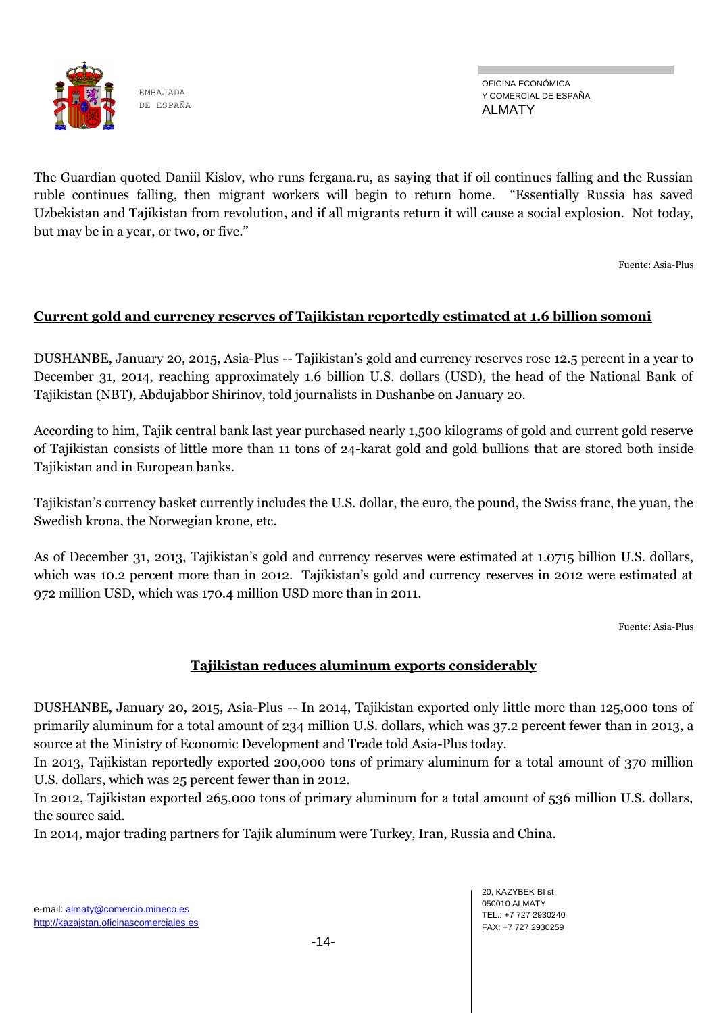

OFICINA ECONÓMICA Y COMERCIAL DE ESPAÑA ALMATY

The Guardian quoted Daniil Kislov, who runs fergana.ru, as saying that if oil continues falling and the Russian ruble continues falling, then migrant workers will begin to return home. "Essentially Russia has saved Uzbekistan and Tajikistan from revolution, and if all migrants return it will cause a social explosion. Not today, but may be in a year, or two, or five."

Fuente: Asia-Plus

#### **Current gold and currency reserves of Tajikistan reportedly estimated at 1.6 billion somoni**

DUSHANBE, January 20, 2015, Asia-Plus -- Tajikistan's gold and currency reserves rose 12.5 percent in a year to December 31, 2014, reaching approximately 1.6 billion U.S. dollars (USD), the head of the National Bank of Tajikistan (NBT), Abdujabbor Shirinov, told journalists in Dushanbe on January 20.

According to him, Tajik central bank last year purchased nearly 1,500 kilograms of gold and current gold reserve of Tajikistan consists of little more than 11 tons of 24-karat gold and gold bullions that are stored both inside Tajikistan and in European banks.

Tajikistan's currency basket currently includes the U.S. dollar, the euro, the pound, the Swiss franc, the yuan, the Swedish krona, the Norwegian krone, etc.

As of December 31, 2013, Tajikistan's gold and currency reserves were estimated at 1.0715 billion U.S. dollars, which was 10.2 percent more than in 2012. Tajikistan's gold and currency reserves in 2012 were estimated at 972 million USD, which was 170.4 million USD more than in 2011.

Fuente: Asia-Plus

#### **Tajikistan reduces aluminum exports considerably**

DUSHANBE, January 20, 2015, Asia-Plus -- In 2014, Tajikistan exported only little more than 125,000 tons of primarily aluminum for a total amount of 234 million U.S. dollars, which was 37.2 percent fewer than in 2013, a source at the Ministry of Economic Development and Trade told Asia-Plus today.

In 2013, Tajikistan reportedly exported 200,000 tons of primary aluminum for a total amount of 370 million U.S. dollars, which was 25 percent fewer than in 2012.

In 2012, Tajikistan exported 265,000 tons of primary aluminum for a total amount of 536 million U.S. dollars, the source said.

In 2014, major trading partners for Tajik aluminum were Turkey, Iran, Russia and China.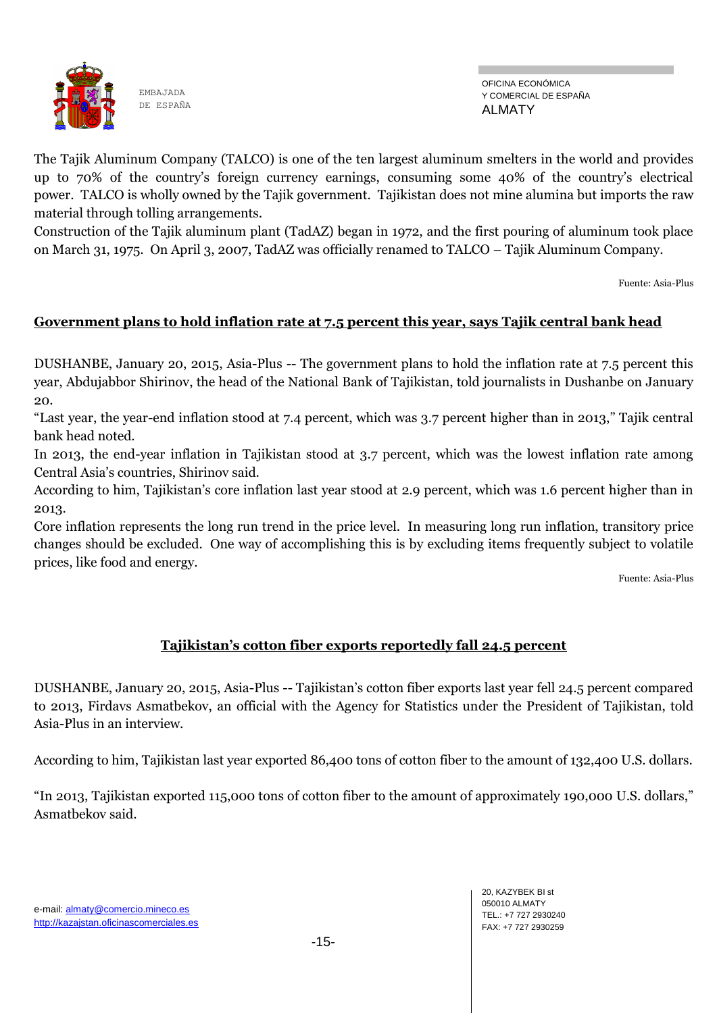

The Tajik Aluminum Company (TALCO) is one of the ten largest aluminum smelters in the world and provides up to 70% of the country's foreign currency earnings, consuming some 40% of the country's electrical power. TALCO is wholly owned by the Tajik government. Tajikistan does not mine alumina but imports the raw material through tolling arrangements.

Construction of the Tajik aluminum plant (TadAZ) began in 1972, and the first pouring of aluminum took place on March 31, 1975. On April 3, 2007, TadAZ was officially renamed to TALCO – Tajik Aluminum Company.

Fuente: Asia-Plus

#### **Government plans to hold inflation rate at 7.5 percent this year, says Tajik central bank head**

DUSHANBE, January 20, 2015, Asia-Plus -- The government plans to hold the inflation rate at 7.5 percent this year, Abdujabbor Shirinov, the head of the National Bank of Tajikistan, told journalists in Dushanbe on January 20.

"Last year, the year-end inflation stood at 7.4 percent, which was 3.7 percent higher than in 2013," Tajik central bank head noted.

In 2013, the end-year inflation in Tajikistan stood at 3.7 percent, which was the lowest inflation rate among Central Asia's countries, Shirinov said.

According to him, Tajikistan's core inflation last year stood at 2.9 percent, which was 1.6 percent higher than in 2013.

Core inflation represents the long run trend in the price level. In measuring long run inflation, transitory price changes should be excluded. One way of accomplishing this is by excluding items frequently subject to volatile prices, like food and energy.

Fuente: Asia-Plus

#### **Tajikistan's cotton fiber exports reportedly fall 24.5 percent**

DUSHANBE, January 20, 2015, Asia-Plus -- Tajikistan's cotton fiber exports last year fell 24.5 percent compared to 2013, Firdavs Asmatbekov, an official with the Agency for Statistics under the President of Tajikistan, told Asia-Plus in an interview.

According to him, Tajikistan last year exported 86,400 tons of cotton fiber to the amount of 132,400 U.S. dollars.

"In 2013, Tajikistan exported 115,000 tons of cotton fiber to the amount of approximately 190,000 U.S. dollars," Asmatbekov said.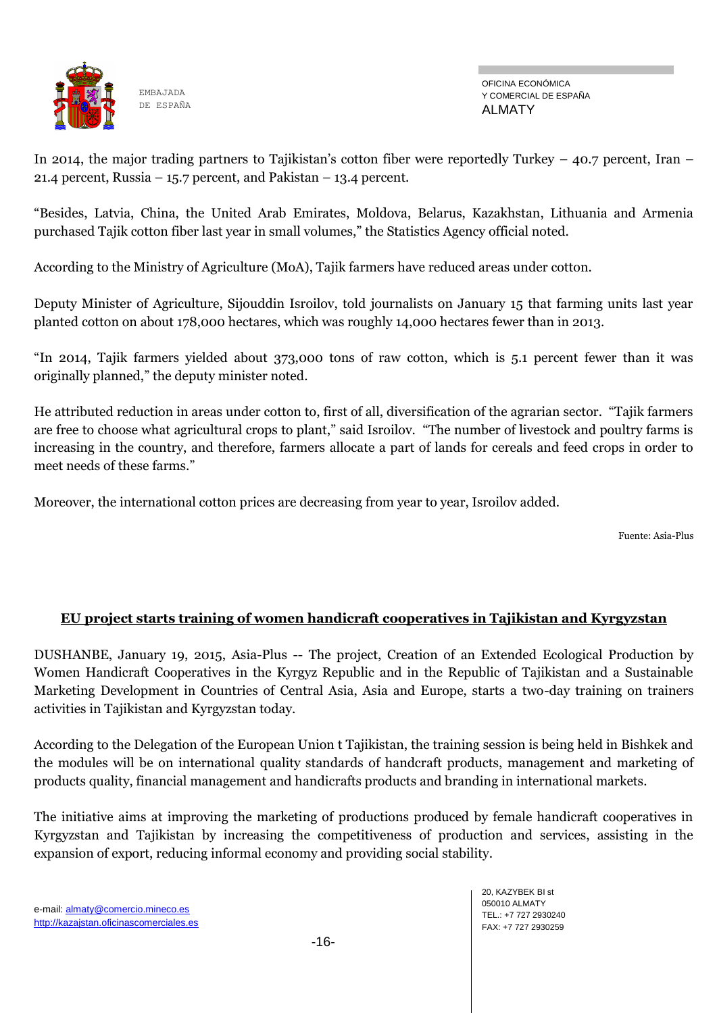

OFICINA ECONÓMICA Y COMERCIAL DE ESPAÑA ALMATY

In 2014, the major trading partners to Tajikistan's cotton fiber were reportedly Turkey – 40.7 percent, Iran – 21.4 percent, Russia – 15.7 percent, and Pakistan – 13.4 percent.

"Besides, Latvia, China, the United Arab Emirates, Moldova, Belarus, Kazakhstan, Lithuania and Armenia purchased Tajik cotton fiber last year in small volumes," the Statistics Agency official noted.

According to the Ministry of Agriculture (MoA), Tajik farmers have reduced areas under cotton.

Deputy Minister of Agriculture, Sijouddin Isroilov, told journalists on January 15 that farming units last year planted cotton on about 178,000 hectares, which was roughly 14,000 hectares fewer than in 2013.

"In 2014, Tajik farmers yielded about 373,000 tons of raw cotton, which is 5.1 percent fewer than it was originally planned," the deputy minister noted.

He attributed reduction in areas under cotton to, first of all, diversification of the agrarian sector. "Tajik farmers are free to choose what agricultural crops to plant," said Isroilov. "The number of livestock and poultry farms is increasing in the country, and therefore, farmers allocate a part of lands for cereals and feed crops in order to meet needs of these farms."

Moreover, the international cotton prices are decreasing from year to year, Isroilov added.

Fuente: Asia-Plus

### **EU project starts training of women handicraft cooperatives in Tajikistan and Kyrgyzstan**

DUSHANBE, January 19, 2015, Asia-Plus -- The project, Creation of an Extended Ecological Production by Women Handicraft Cooperatives in the Kyrgyz Republic and in the Republic of Tajikistan and a Sustainable Marketing Development in Countries of Central Asia, Asia and Europe, starts a two-day training on trainers activities in Tajikistan and Kyrgyzstan today.

According to the Delegation of the European Union t Tajikistan, the training session is being held in Bishkek and the modules will be on international quality standards of handcraft products, management and marketing of products quality, financial management and handicrafts products and branding in international markets.

The initiative aims at improving the marketing of productions produced by female handicraft cooperatives in Kyrgyzstan and Tajikistan by increasing the competitiveness of production and services, assisting in the expansion of export, reducing informal economy and providing social stability.